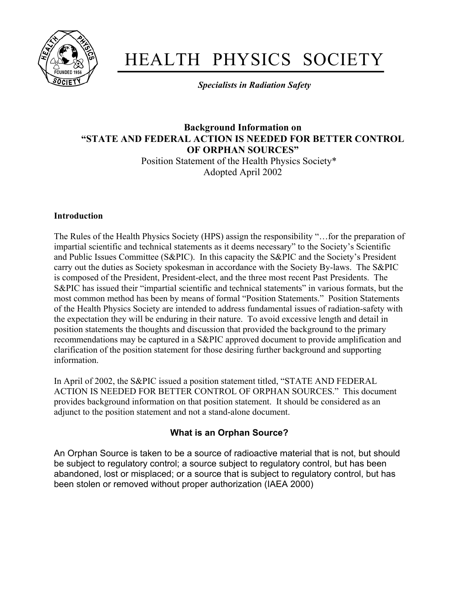

# HEALTH PHYSICS SOCIETY

*Specialists in Radiation Safety*

## **Background Information on "STATE AND FEDERAL ACTION IS NEEDED FOR BETTER CONTROL OF ORPHAN SOURCES"**

 Position Statement of the Health Physics Society\* Adopted April 2002

#### **Introduction**

The Rules of the Health Physics Society (HPS) assign the responsibility "…for the preparation of impartial scientific and technical statements as it deems necessary" to the Society's Scientific and Public Issues Committee (S&PIC). In this capacity the S&PIC and the Society's President carry out the duties as Society spokesman in accordance with the Society By-laws. The S&PIC is composed of the President, President-elect, and the three most recent Past Presidents. The S&PIC has issued their "impartial scientific and technical statements" in various formats, but the most common method has been by means of formal "Position Statements." Position Statements of the Health Physics Society are intended to address fundamental issues of radiation-safety with the expectation they will be enduring in their nature. To avoid excessive length and detail in position statements the thoughts and discussion that provided the background to the primary recommendations may be captured in a S&PIC approved document to provide amplification and clarification of the position statement for those desiring further background and supporting information.

In April of 2002, the S&PIC issued a position statement titled, "STATE AND FEDERAL ACTION IS NEEDED FOR BETTER CONTROL OF ORPHAN SOURCES." This document provides background information on that position statement. It should be considered as an adjunct to the position statement and not a stand-alone document.

### **What is an Orphan Source?**

An Orphan Source is taken to be a source of radioactive material that is not, but should be subject to regulatory control; a source subject to regulatory control, but has been abandoned, lost or misplaced; or a source that is subject to regulatory control, but has been stolen or removed without proper authorization (IAEA 2000)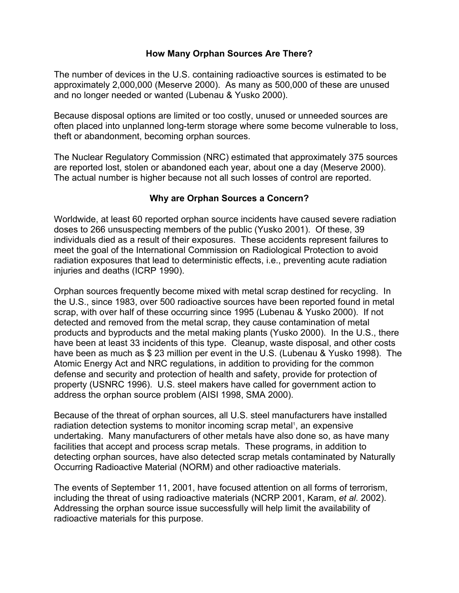#### **How Many Orphan Sources Are There?**

The number of devices in the U.S. containing radioactive sources is estimated to be approximately 2,000,000 (Meserve 2000). As many as 500,000 of these are unused and no longer needed or wanted (Lubenau & Yusko 2000).

Because disposal options are limited or too costly, unused or unneeded sources are often placed into unplanned long-term storage where some become vulnerable to loss, theft or abandonment, becoming orphan sources.

The Nuclear Regulatory Commission (NRC) estimated that approximately 375 sources are reported lost, stolen or abandoned each year, about one a day (Meserve 2000). The actual number is higher because not all such losses of control are reported.

#### **Why are Orphan Sources a Concern?**

Worldwide, at least 60 reported orphan source incidents have caused severe radiation doses to 266 unsuspecting members of the public (Yusko 2001). Of these, 39 individuals died as a result of their exposures. These accidents represent failures to meet the goal of the International Commission on Radiological Protection to avoid radiation exposures that lead to deterministic effects, i.e., preventing acute radiation injuries and deaths (ICRP 1990).

Orphan sources frequently become mixed with metal scrap destined for recycling. In the U.S., since 1983, over 500 radioactive sources have been reported found in metal scrap, with over half of these occurring since 1995 (Lubenau & Yusko 2000). If not detected and removed from the metal scrap, they cause contamination of metal products and byproducts and the metal making plants (Yusko 2000). In the U.S., there have been at least 33 incidents of this type. Cleanup, waste disposal, and other costs have been as much as \$ 23 million per event in the U.S. (Lubenau & Yusko 1998). The Atomic Energy Act and NRC regulations, in addition to providing for the common defense and security and protection of health and safety, provide for protection of property (USNRC 1996). U.S. steel makers have called for government action to address the orphan source problem (AISI 1998, SMA 2000).

Because of the threat of orphan sources, all U.S. steel manufacturers have installed radiation detection systems to monitor incoming scrap metal<sup>1</sup>, an expensive undertaking. Many manufacturers of other metals have also done so, as have many facilities that accept and process scrap metals. These programs, in addition to detecting orphan sources, have also detected scrap metals contaminated by Naturally Occurring Radioactive Material (NORM) and other radioactive materials.

The events of September 11, 2001, have focused attention on all forms of terrorism, including the threat of using radioactive materials (NCRP 2001, Karam, *et al.* 2002). Addressing the orphan source issue successfully will help limit the availability of radioactive materials for this purpose.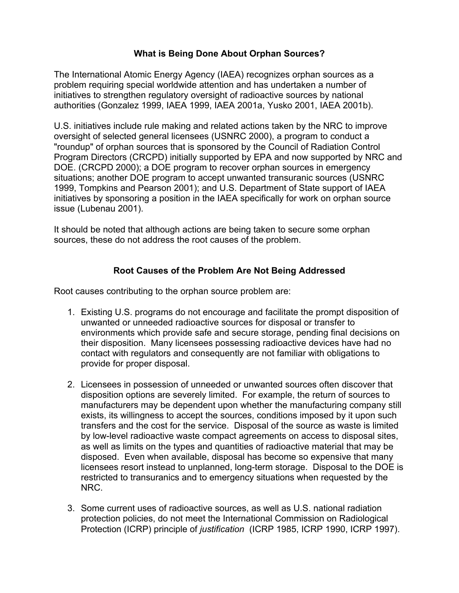#### **What is Being Done About Orphan Sources?**

The International Atomic Energy Agency (IAEA) recognizes orphan sources as a problem requiring special worldwide attention and has undertaken a number of initiatives to strengthen regulatory oversight of radioactive sources by national authorities (Gonzalez 1999, IAEA 1999, IAEA 2001a, Yusko 2001, IAEA 2001b).

U.S. initiatives include rule making and related actions taken by the NRC to improve oversight of selected general licensees (USNRC 2000), a program to conduct a "roundup" of orphan sources that is sponsored by the Council of Radiation Control Program Directors (CRCPD) initially supported by EPA and now supported by NRC and DOE. (CRCPD 2000); a DOE program to recover orphan sources in emergency situations; another DOE program to accept unwanted transuranic sources (USNRC 1999, Tompkins and Pearson 2001); and U.S. Department of State support of IAEA initiatives by sponsoring a position in the IAEA specifically for work on orphan source issue (Lubenau 2001).

It should be noted that although actions are being taken to secure some orphan sources, these do not address the root causes of the problem.

#### **Root Causes of the Problem Are Not Being Addressed**

Root causes contributing to the orphan source problem are:

- 1. Existing U.S. programs do not encourage and facilitate the prompt disposition of unwanted or unneeded radioactive sources for disposal or transfer to environments which provide safe and secure storage, pending final decisions on their disposition. Many licensees possessing radioactive devices have had no contact with regulators and consequently are not familiar with obligations to provide for proper disposal.
- 2. Licensees in possession of unneeded or unwanted sources often discover that disposition options are severely limited. For example, the return of sources to manufacturers may be dependent upon whether the manufacturing company still exists, its willingness to accept the sources, conditions imposed by it upon such transfers and the cost for the service. Disposal of the source as waste is limited by low-level radioactive waste compact agreements on access to disposal sites, as well as limits on the types and quantities of radioactive material that may be disposed. Even when available, disposal has become so expensive that many licensees resort instead to unplanned, long-term storage. Disposal to the DOE is restricted to transuranics and to emergency situations when requested by the NRC.
- 3. Some current uses of radioactive sources, as well as U.S. national radiation protection policies, do not meet the International Commission on Radiological Protection (ICRP) principle of *justification* (ICRP 1985, ICRP 1990, ICRP 1997).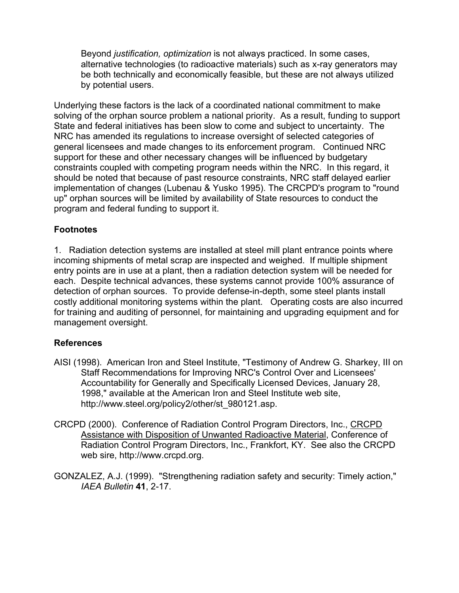Beyond *justification, optimization* is not always practiced. In some cases, alternative technologies (to radioactive materials) such as x-ray generators may be both technically and economically feasible, but these are not always utilized by potential users.

Underlying these factors is the lack of a coordinated national commitment to make solving of the orphan source problem a national priority. As a result, funding to support State and federal initiatives has been slow to come and subject to uncertainty. The NRC has amended its regulations to increase oversight of selected categories of general licensees and made changes to its enforcement program. Continued NRC support for these and other necessary changes will be influenced by budgetary constraints coupled with competing program needs within the NRC. In this regard, it should be noted that because of past resource constraints, NRC staff delayed earlier implementation of changes (Lubenau & Yusko 1995). The CRCPD's program to "round up" orphan sources will be limited by availability of State resources to conduct the program and federal funding to support it.

#### **Footnotes**

1. Radiation detection systems are installed at steel mill plant entrance points where incoming shipments of metal scrap are inspected and weighed. If multiple shipment entry points are in use at a plant, then a radiation detection system will be needed for each. Despite technical advances, these systems cannot provide 100% assurance of detection of orphan sources. To provide defense-in-depth, some steel plants install costly additional monitoring systems within the plant. Operating costs are also incurred for training and auditing of personnel, for maintaining and upgrading equipment and for management oversight.

#### **References**

- AISI (1998). American Iron and Steel Institute, "Testimony of Andrew G. Sharkey, III on Staff Recommendations for Improving NRC's Control Over and Licensees' Accountability for Generally and Specifically Licensed Devices, January 28, 1998," available at the American Iron and Steel Institute web site, http://www.steel.org/policy2/other/st\_980121.asp.
- CRCPD (2000). Conference of Radiation Control Program Directors, Inc., CRCPD Assistance with Disposition of Unwanted Radioactive Material, Conference of Radiation Control Program Directors, Inc., Frankfort, KY. See also the CRCPD web sire, http://www.crcpd.org.
- GONZALEZ, A.J. (1999). "Strengthening radiation safety and security: Timely action," *IAEA Bulletin* **41**, 2-17.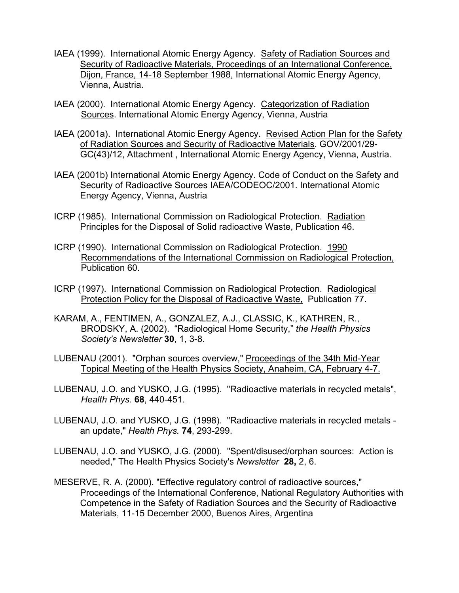- IAEA (1999). International Atomic Energy Agency. Safety of Radiation Sources and Security of Radioactive Materials, Proceedings of an International Conference, Dijon, France, 14-18 September 1988, International Atomic Energy Agency, Vienna, Austria.
- IAEA (2000). International Atomic Energy Agency. Categorization of Radiation Sources. International Atomic Energy Agency, Vienna, Austria
- IAEA (2001a). International Atomic Energy Agency. Revised Action Plan for the Safety of Radiation Sources and Security of Radioactive Materials. GOV/2001/29- GC(43)/12, Attachment , International Atomic Energy Agency, Vienna, Austria.
- IAEA (2001b) International Atomic Energy Agency. Code of Conduct on the Safety and Security of Radioactive Sources IAEA/CODEOC/2001. International Atomic Energy Agency, Vienna, Austria
- ICRP (1985). International Commission on Radiological Protection. Radiation Principles for the Disposal of Solid radioactive Waste, Publication 46.
- ICRP (1990). International Commission on Radiological Protection. 1990 Recommendations of the International Commission on Radiological Protection, Publication 60.
- ICRP (1997). International Commission on Radiological Protection. Radiological Protection Policy for the Disposal of Radioactive Waste, Publication 77.
- KARAM, A., FENTIMEN, A., GONZALEZ, A.J., CLASSIC, K., KATHREN, R., BRODSKY, A. (2002). "Radiological Home Security," *the Health Physics Society's Newsletter* **30**, 1, 3-8.
- LUBENAU (2001). "Orphan sources overview," Proceedings of the 34th Mid-Year Topical Meeting of the Health Physics Society, Anaheim, CA, February 4-7.
- LUBENAU, J.O. and YUSKO, J.G. (1995). "Radioactive materials in recycled metals", *Health Phys.* **68**, 440-451.
- LUBENAU, J.O. and YUSKO, J.G. (1998). "Radioactive materials in recycled metals an update," *Health Phys.* **74**, 293-299.
- LUBENAU, J.O. and YUSKO, J.G. (2000). "Spent/disused/orphan sources: Action is needed," The Health Physics Society's *Newsletter* **28,** 2, 6.
- MESERVE, R. A. (2000). "Effective regulatory control of radioactive sources," Proceedings of the International Conference, National Regulatory Authorities with Competence in the Safety of Radiation Sources and the Security of Radioactive Materials, 11-15 December 2000, Buenos Aires, Argentina